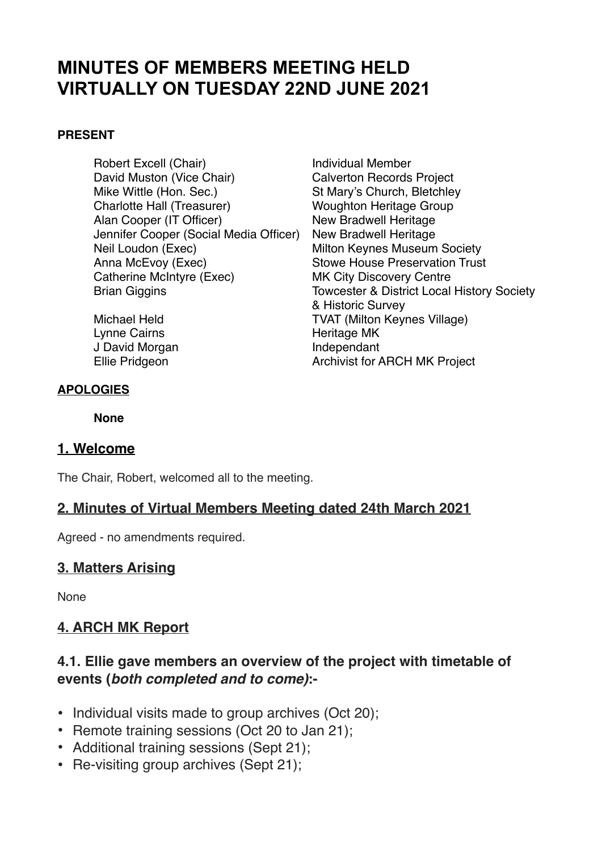## **MINUTES OF MEMBERS MEETING HELD VIRTUALLY ON TUESDAY 22ND JUNE 2021**

#### **PRESENT**

Robert Excell (Chair) **Individual Member** David Muston (Vice Chair) Calverton Records Project Mike Wittle (Hon. Sec.)<br>
Charlotte Hall (Treasurer) 
St Mary's Church, Bletchley<br>
Woughton Heritage Group Alan Cooper (IT Officer) New Bradwell Heritage Jennifer Cooper (Social Media Officer) New Bradwell Heritage Neil Loudon (Exec) Milton Keynes Museum Society Anna McEvoy (Exec) Stowe House Preservation Trust Catherine McIntyre (Exec) MK City Discovery Centre

Lynne Cairns **Heritage MK** J David Morgan **Independant** 

# **Woughton Heritage Group** Brian Giggins Towcester & District Local History Society & Historic Survey Michael Held TVAT (Milton Keynes Village) Ellie Pridgeon **Archivist for ARCH MK Project**

#### **APOLOGIES**

**None** 

#### **1. Welcome**

The Chair, Robert, welcomed all to the meeting.

#### **2. Minutes of Virtual Members Meeting dated 24th March 2021**

Agreed - no amendments required.

#### **3. Matters Arising**

None

## **4. ARCH MK Report**

#### **4.1. Ellie gave members an overview of the project with timetable of events (***both completed and to come)***:-**

- Individual visits made to group archives (Oct 20);
- Remote training sessions (Oct 20 to Jan 21);
- Additional training sessions (Sept 21);
- Re-visiting group archives (Sept 21);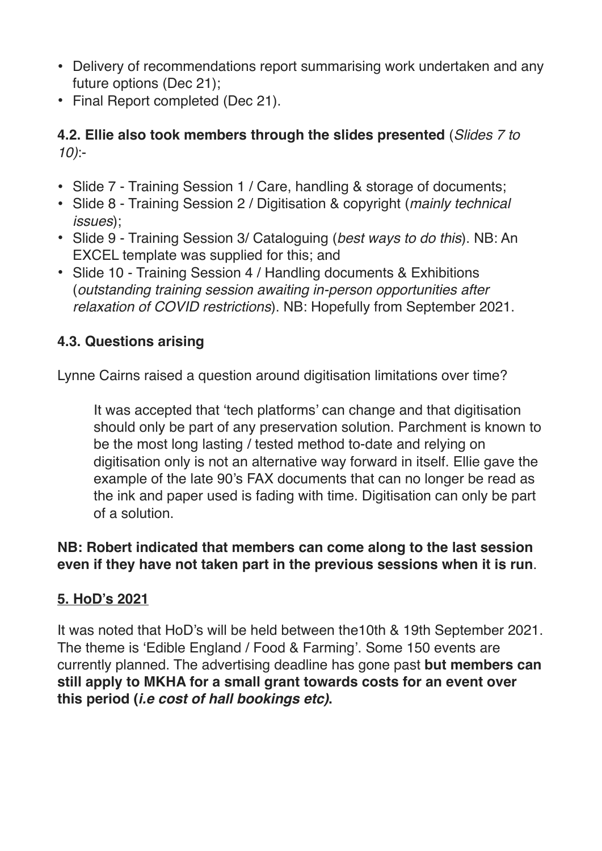- Delivery of recommendations report summarising work undertaken and any future options (Dec 21);
- Final Report completed (Dec 21).

## **4.2. Ellie also took members through the slides presented** (*Slides 7 to 10)*:-

- Slide 7 Training Session 1 / Care, handling & storage of documents;
- Slide 8 Training Session 2 / Digitisation & copyright (*mainly technical issues*);
- Slide 9 Training Session 3/ Cataloguing (*best ways to do this*). NB: An EXCEL template was supplied for this; and
- Slide 10 Training Session 4 / Handling documents & Exhibitions (*outstanding training session awaiting in-person opportunities after relaxation of COVID restrictions*). NB: Hopefully from September 2021.

## **4.3. Questions arising**

Lynne Cairns raised a question around digitisation limitations over time?

It was accepted that 'tech platforms' can change and that digitisation should only be part of any preservation solution. Parchment is known to be the most long lasting / tested method to-date and relying on digitisation only is not an alternative way forward in itself. Ellie gave the example of the late 90's FAX documents that can no longer be read as the ink and paper used is fading with time. Digitisation can only be part of a solution.

## **NB: Robert indicated that members can come along to the last session even if they have not taken part in the previous sessions when it is run**.

## **5. HoD's 2021**

It was noted that HoD's will be held between the10th & 19th September 2021. The theme is 'Edible England / Food & Farming'. Some 150 events are currently planned. The advertising deadline has gone past **but members can still apply to MKHA for a small grant towards costs for an event over this period (***i.e cost of hall bookings etc)***.**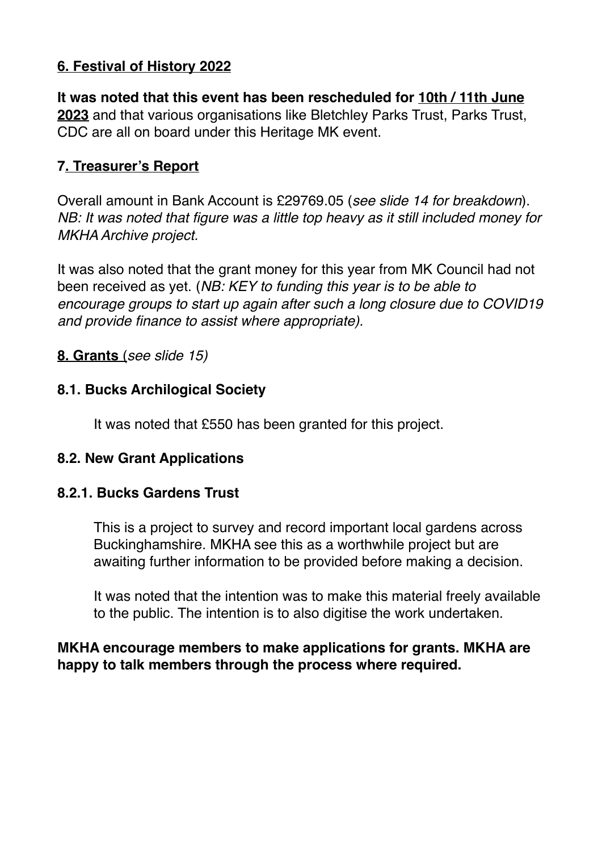## **6. Festival of History 2022**

**It was noted that this event has been rescheduled for 10th / 11th June 2023** and that various organisations like Bletchley Parks Trust, Parks Trust, CDC are all on board under this Heritage MK event.

## **7. Treasurer's Report**

Overall amount in Bank Account is £29769.05 (*see slide 14 for breakdown*). *NB: It was noted that figure was a little top heavy as it still included money for MKHA Archive project.* 

It was also noted that the grant money for this year from MK Council had not been received as yet. (*NB: KEY to funding this year is to be able to encourage groups to start up again after such a long closure due to COVID19 and provide finance to assist where appropriate).* 

#### **8. Grants** (*see slide 15)*

#### **8.1. Bucks Archilogical Society**

It was noted that £550 has been granted for this project.

#### **8.2. New Grant Applications**

#### **8.2.1. Bucks Gardens Trust**

This is a project to survey and record important local gardens across Buckinghamshire. MKHA see this as a worthwhile project but are awaiting further information to be provided before making a decision.

It was noted that the intention was to make this material freely available to the public. The intention is to also digitise the work undertaken.

## **MKHA encourage members to make applications for grants. MKHA are happy to talk members through the process where required.**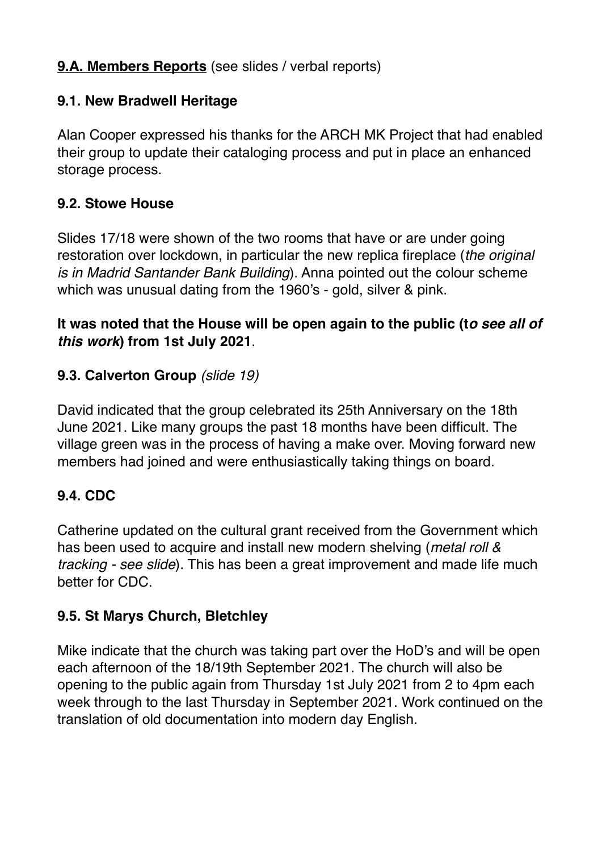## **9.A. Members Reports** (see slides / verbal reports)

#### **9.1. New Bradwell Heritage**

Alan Cooper expressed his thanks for the ARCH MK Project that had enabled their group to update their cataloging process and put in place an enhanced storage process.

#### **9.2. Stowe House**

Slides 17/18 were shown of the two rooms that have or are under going restoration over lockdown, in particular the new replica fireplace (*the original is in Madrid Santander Bank Building*). Anna pointed out the colour scheme which was unusual dating from the 1960's - gold, silver & pink.

## **It was noted that the House will be open again to the public (t***o see all of this work***) from 1st July 2021**.

#### **9.3. Calverton Group** *(slide 19)*

David indicated that the group celebrated its 25th Anniversary on the 18th June 2021. Like many groups the past 18 months have been difficult. The village green was in the process of having a make over. Moving forward new members had joined and were enthusiastically taking things on board.

## **9.4. CDC**

Catherine updated on the cultural grant received from the Government which has been used to acquire and install new modern shelving (*metal roll & tracking - see slide*). This has been a great improvement and made life much better for CDC.

## **9.5. St Marys Church, Bletchley**

Mike indicate that the church was taking part over the HoD's and will be open each afternoon of the 18/19th September 2021. The church will also be opening to the public again from Thursday 1st July 2021 from 2 to 4pm each week through to the last Thursday in September 2021. Work continued on the translation of old documentation into modern day English.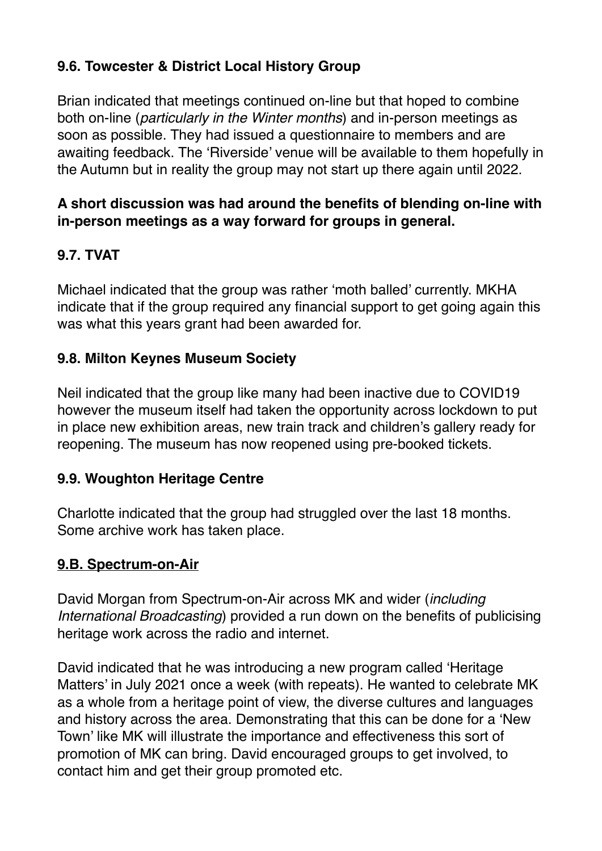## **9.6. Towcester & District Local History Group**

Brian indicated that meetings continued on-line but that hoped to combine both on-line (*particularly in the Winter months*) and in-person meetings as soon as possible. They had issued a questionnaire to members and are awaiting feedback. The 'Riverside' venue will be available to them hopefully in the Autumn but in reality the group may not start up there again until 2022.

## **A short discussion was had around the benefits of blending on-line with in-person meetings as a way forward for groups in general.**

## **9.7. TVAT**

Michael indicated that the group was rather 'moth balled' currently. MKHA indicate that if the group required any financial support to get going again this was what this years grant had been awarded for.

## **9.8. Milton Keynes Museum Society**

Neil indicated that the group like many had been inactive due to COVID19 however the museum itself had taken the opportunity across lockdown to put in place new exhibition areas, new train track and children's gallery ready for reopening. The museum has now reopened using pre-booked tickets.

## **9.9. Woughton Heritage Centre**

Charlotte indicated that the group had struggled over the last 18 months. Some archive work has taken place.

## **9.B. Spectrum-on-Air**

David Morgan from Spectrum-on-Air across MK and wider (*including International Broadcasting*) provided a run down on the benefits of publicising heritage work across the radio and internet.

David indicated that he was introducing a new program called 'Heritage Matters' in July 2021 once a week (with repeats). He wanted to celebrate MK as a whole from a heritage point of view, the diverse cultures and languages and history across the area. Demonstrating that this can be done for a 'New Town' like MK will illustrate the importance and effectiveness this sort of promotion of MK can bring. David encouraged groups to get involved, to contact him and get their group promoted etc.